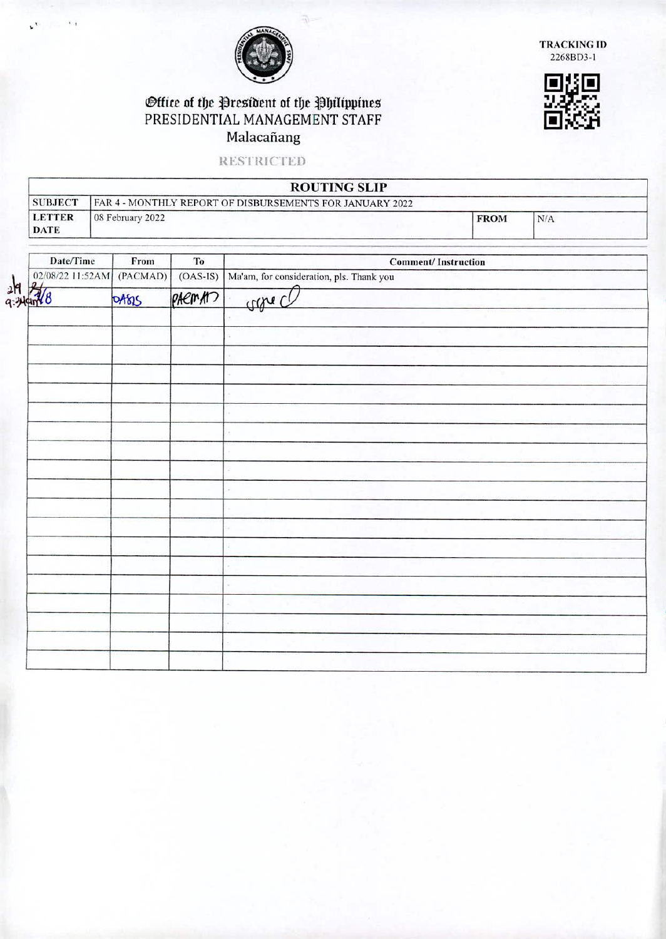

**TRACKIN(; II)**  2268BD3-1

## ©ffice of the President of the Philippines<br>PRESIDENTIAL MANAGEMENT STAFF IE;<br>Moleceãens Malacañang

**RESTRICTED** 

|                              | <b>ROUTING SLIP</b>                                      |             |     |
|------------------------------|----------------------------------------------------------|-------------|-----|
| <b>SUBJECT</b>               | FAR 4 - MONTHLY REPORT OF DISBURSEMENTS FOR JANUARY 2022 |             |     |
| <b>LETTER</b><br><b>DATE</b> | 08 February 2022                                         | <b>FROM</b> | N/A |

| Date/Time                 | From  | To         | <b>Comment/Instruction</b>               |
|---------------------------|-------|------------|------------------------------------------|
| 02/08/22 11:52AM (PACMAD) |       | $(OAS-IS)$ | Ma'am, for consideration, pls. Thank you |
| $rac{1}{4.349188}$        | DABIS | paeman     | conce                                    |
|                           |       |            |                                          |
|                           |       |            |                                          |
|                           |       |            |                                          |
|                           |       |            |                                          |
|                           |       |            |                                          |
|                           |       |            |                                          |
|                           |       |            |                                          |
|                           |       |            |                                          |
|                           |       |            |                                          |
|                           |       |            |                                          |
|                           |       |            |                                          |
|                           |       |            |                                          |
|                           |       |            |                                          |
|                           |       |            |                                          |